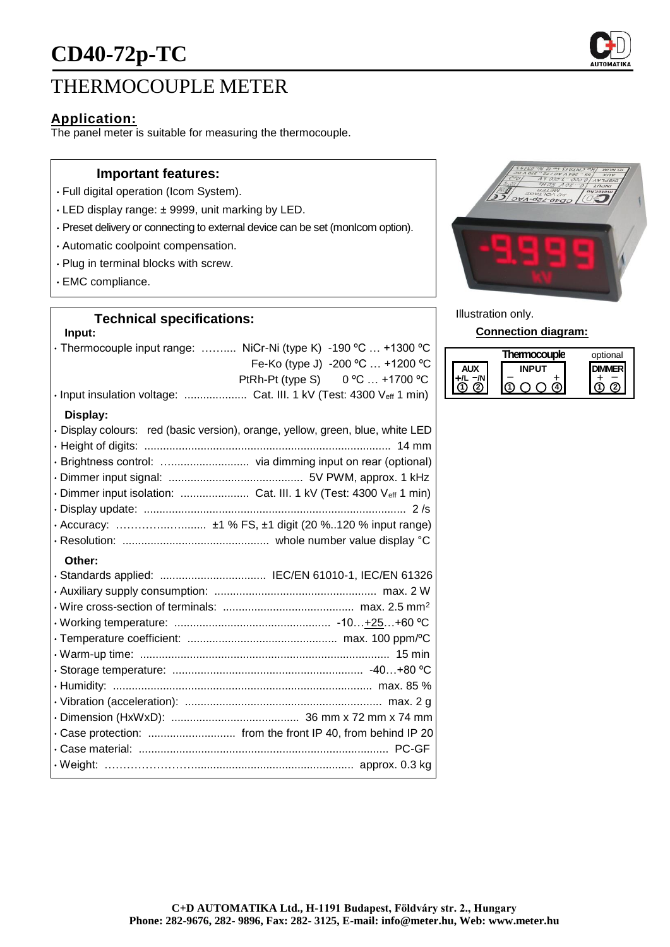# THERMOCOUPLE METER

## **Application:**

The panel meter is suitable for measuring the thermocouple.

#### **Important features:**

- Full digital operation (Icom System).
- LED display range: ± 9999, unit marking by LED.
- Preset delivery or connecting to external device can be set (monIcom option).
- Automatic coolpoint compensation.
- Plug in terminal blocks with screw.
- EMC compliance.

# **Technical specifications:**

#### **Input:**

| • Thermocouple input range:  NiCr-Ni (type K) -190 °C  +1300 °C<br>Fe-Ko (type J) -200 °C  +1200 °C<br>PtRh-Pt (type S) 0 °C  +1700 °C |
|----------------------------------------------------------------------------------------------------------------------------------------|
| · Input insulation voltage:  Cat. III. 1 kV (Test: 4300 Veff 1 min)                                                                    |
| Display:                                                                                                                               |
| · Display colours: red (basic version), orange, yellow, green, blue, white LED                                                         |
|                                                                                                                                        |
|                                                                                                                                        |
|                                                                                                                                        |
| · Dimmer input isolation:  Cat. III. 1 kV (Test: 4300 Veff 1 min)                                                                      |
|                                                                                                                                        |
|                                                                                                                                        |
|                                                                                                                                        |
| Other:                                                                                                                                 |
|                                                                                                                                        |
|                                                                                                                                        |
|                                                                                                                                        |
|                                                                                                                                        |
|                                                                                                                                        |
|                                                                                                                                        |
|                                                                                                                                        |
|                                                                                                                                        |
|                                                                                                                                        |
|                                                                                                                                        |
| · Case protection:  from the front IP 40, from behind IP 20                                                                            |
|                                                                                                                                        |
|                                                                                                                                        |



Illustration only.

**Connection diagram:**

|  | Thermocouple | optional |
|--|--------------|----------|
|  |              |          |
|  |              |          |